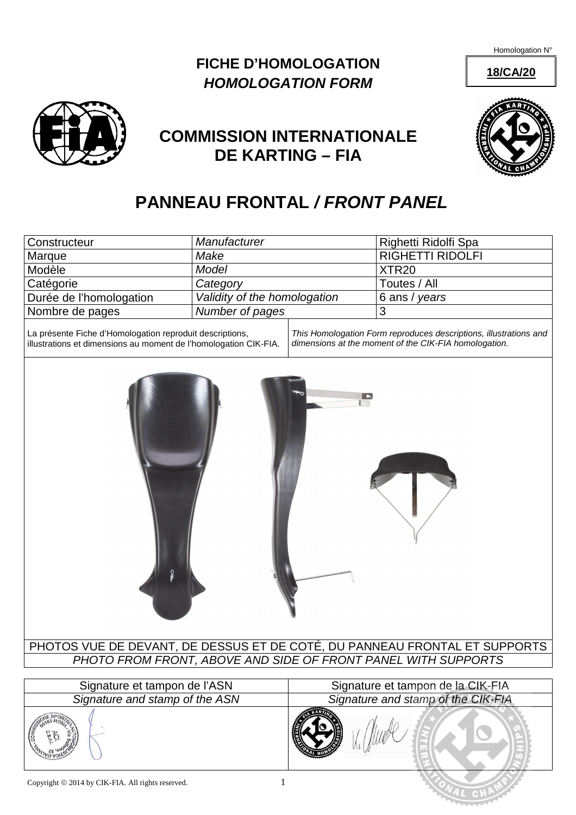Homologation N°

### **18/CA/20**

## **FICHE D'HOMOLOGATION HOMOLOGATION FORM**



## **COMMISSION INTERNATIONALE DE KARTING – FIA**

# **PANNEAU FRONTAL / FRONT PANEL**

| Constructeur                                                                                                                 | Manufacturer                 |                                                                                                                            | Righetti Ridolfi Spa    |
|------------------------------------------------------------------------------------------------------------------------------|------------------------------|----------------------------------------------------------------------------------------------------------------------------|-------------------------|
| Marque                                                                                                                       | Make                         |                                                                                                                            | <b>RIGHETTI RIDOLFI</b> |
| Modèle                                                                                                                       | Model                        |                                                                                                                            | XTR <sub>20</sub>       |
| Catégorie                                                                                                                    | Category                     |                                                                                                                            | Toutes / All            |
| Durée de l'homologation                                                                                                      | Validity of the homologation |                                                                                                                            | 6 ans / years           |
| Nombre de pages                                                                                                              | Number of pages              |                                                                                                                            | 3                       |
| La présente Fiche d'Homologation reproduit descriptions,<br>illustrations et dimensions au moment de l'homologation CIK-FIA. |                              | This Homologation Form reproduces descriptions, illustrations and<br>dimensions at the moment of the CIK-FIA homologation. |                         |
| $\bullet$<br>$\lceil 0 \rceil$                                                                                               |                              |                                                                                                                            |                         |

PHOTOS VUE DE DEVANT, DE DESSUS ET DE COTÉ, DU PANNEAU FRONTAL ET SUPPORTS PHOTO FROM FRONT, ABOVE AND SIDE OF FRONT PANEL WITH SUPPORTS

| Signature et tampon de l'ASN   | Signature et tampon de la CIK-FIA  |  |
|--------------------------------|------------------------------------|--|
| Signature and stamp of the ASN | Signature and stamp of the CIK-FIA |  |
|                                |                                    |  |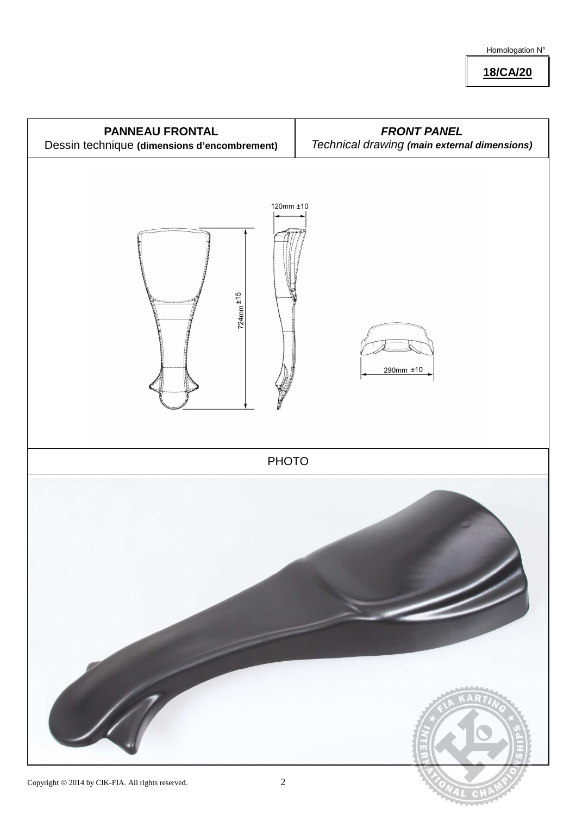**18/CA/20**